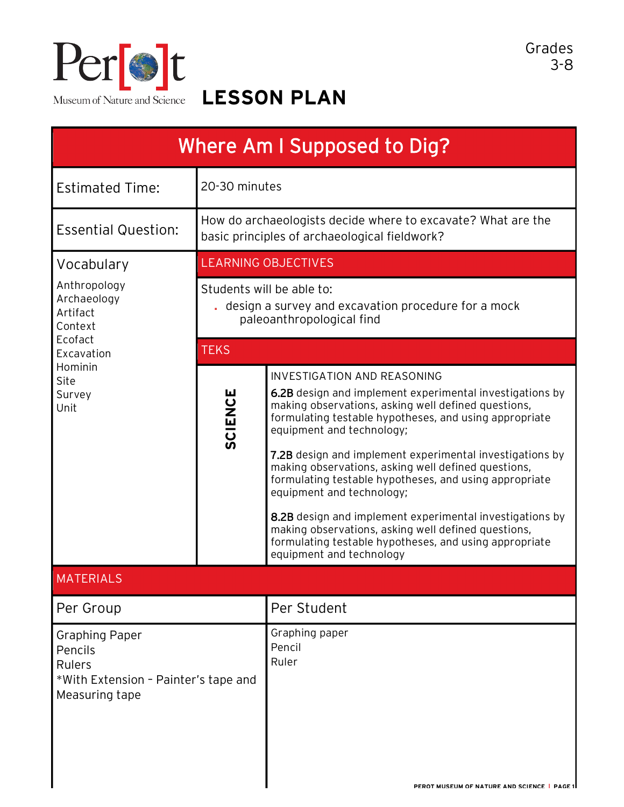

**LESSON PLAN**

| Where Am I Supposed to Dig?                                                                                                    |                                                                                                                 |                                                                                                                                                                                                                                                                                                                                                                                                                                                                                                                                                                                                                                                                 |  |
|--------------------------------------------------------------------------------------------------------------------------------|-----------------------------------------------------------------------------------------------------------------|-----------------------------------------------------------------------------------------------------------------------------------------------------------------------------------------------------------------------------------------------------------------------------------------------------------------------------------------------------------------------------------------------------------------------------------------------------------------------------------------------------------------------------------------------------------------------------------------------------------------------------------------------------------------|--|
| <b>Estimated Time:</b>                                                                                                         | 20-30 minutes                                                                                                   |                                                                                                                                                                                                                                                                                                                                                                                                                                                                                                                                                                                                                                                                 |  |
| <b>Essential Question:</b>                                                                                                     | How do archaeologists decide where to excavate? What are the<br>basic principles of archaeological fieldwork?   |                                                                                                                                                                                                                                                                                                                                                                                                                                                                                                                                                                                                                                                                 |  |
| Vocabulary<br>Anthropology<br>Archaeology<br>Artifact<br>Context<br>Ecofact<br>Excavation<br>Hominin<br>Site<br>Survey<br>Unit | <b>LEARNING OBJECTIVES</b>                                                                                      |                                                                                                                                                                                                                                                                                                                                                                                                                                                                                                                                                                                                                                                                 |  |
|                                                                                                                                | Students will be able to:<br>. design a survey and excavation procedure for a mock<br>paleoanthropological find |                                                                                                                                                                                                                                                                                                                                                                                                                                                                                                                                                                                                                                                                 |  |
|                                                                                                                                | <b>TEKS</b>                                                                                                     |                                                                                                                                                                                                                                                                                                                                                                                                                                                                                                                                                                                                                                                                 |  |
|                                                                                                                                | <b>SCIENCE</b>                                                                                                  | <b>INVESTIGATION AND REASONING</b><br>6.2B design and implement experimental investigations by<br>making observations, asking well defined questions,<br>formulating testable hypotheses, and using appropriate<br>equipment and technology;<br>7.2B design and implement experimental investigations by<br>making observations, asking well defined questions,<br>formulating testable hypotheses, and using appropriate<br>equipment and technology;<br>8.2B design and implement experimental investigations by<br>making observations, asking well defined questions,<br>formulating testable hypotheses, and using appropriate<br>equipment and technology |  |
| <b>MATERIALS</b>                                                                                                               |                                                                                                                 |                                                                                                                                                                                                                                                                                                                                                                                                                                                                                                                                                                                                                                                                 |  |
| Per Group                                                                                                                      |                                                                                                                 | Per Student                                                                                                                                                                                                                                                                                                                                                                                                                                                                                                                                                                                                                                                     |  |
| <b>Graphing Paper</b><br>Pencils<br><b>Rulers</b><br>*With Extension - Painter's tape and<br>Measuring tape                    |                                                                                                                 | Graphing paper<br>Pencil<br>Ruler<br>PEROT MUSEUM OF NATURE AND SCIENCE   PAGE 1                                                                                                                                                                                                                                                                                                                                                                                                                                                                                                                                                                                |  |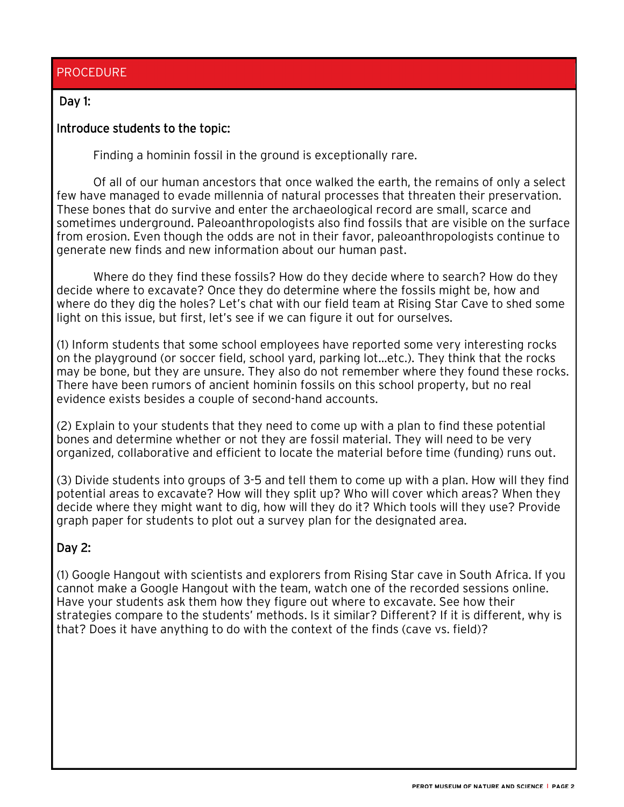## PROCEDURE

## Day 1:

## Introduce students to the topic:

Finding a hominin fossil in the ground is exceptionally rare.

Of all of our human ancestors that once walked the earth, the remains of only a select few have managed to evade millennia of natural processes that threaten their preservation. These bones that do survive and enter the archaeological record are small, scarce and sometimes underground. Paleoanthropologists also find fossils that are visible on the surface from erosion. Even though the odds are not in their favor, paleoanthropologists continue to generate new finds and new information about our human past.

Where do they find these fossils? How do they decide where to search? How do they decide where to excavate? Once they do determine where the fossils might be, how and where do they dig the holes? Let's chat with our field team at Rising Star Cave to shed some light on this issue, but first, let's see if we can figure it out for ourselves.

(1) Inform students that some school employees have reported some very interesting rocks on the playground (or soccer field, school yard, parking lot…etc.). They think that the rocks may be bone, but they are unsure. They also do not remember where they found these rocks. There have been rumors of ancient hominin fossils on this school property, but no real evidence exists besides a couple of second-hand accounts.

(2) Explain to your students that they need to come up with a plan to find these potential bones and determine whether or not they are fossil material. They will need to be very organized, collaborative and efficient to locate the material before time (funding) runs out.

(3) Divide students into groups of 3-5 and tell them to come up with a plan. How will they find potential areas to excavate? How will they split up? Who will cover which areas? When they decide where they might want to dig, how will they do it? Which tools will they use? Provide graph paper for students to plot out a survey plan for the designated area.

## Day 2:

(1) Google Hangout with scientists and explorers from Rising Star cave in South Africa. If you cannot make a Google Hangout with the team, watch one of the recorded sessions online. Have your students ask them how they figure out where to excavate. See how their strategies compare to the students' methods. Is it similar? Different? If it is different, why is that? Does it have anything to do with the context of the finds (cave vs. field)?